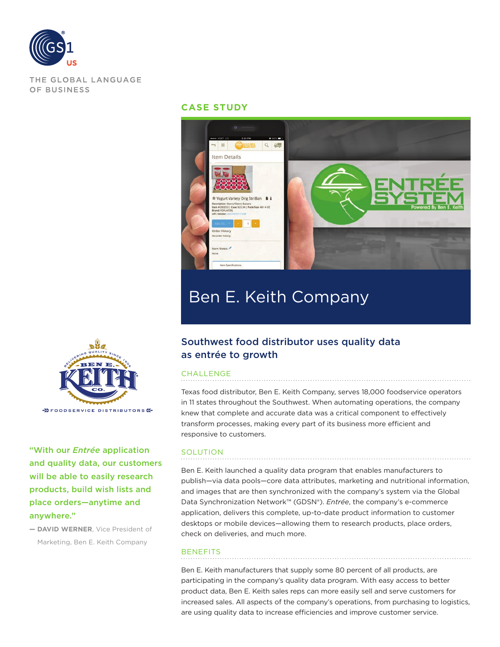

THE GLOBAL LANGUAGE OF BUSINESS

### **CASE STUDY**



# Ben E. Keith Company

## Southwest food distributor uses quality data as entrée to growth

#### CHALLENGE

Texas food distributor, Ben E. Keith Company, serves 18,000 foodservice operators in 11 states throughout the Southwest. When automating operations, the company knew that complete and accurate data was a critical component to effectively transform processes, making every part of its business more efficient and responsive to customers.

#### **SOLUTION**

Ben E. Keith launched a quality data program that enables manufacturers to publish—via data pools—core data attributes, marketing and nutritional information, and images that are then synchronized with the company's system via the Global Data Synchronization Network™ (GDSN®). *Entrée*, the company's e-commerce application, delivers this complete, up-to-date product information to customer desktops or mobile devices—allowing them to research products, place orders, check on deliveries, and much more.

#### **BENEFITS**

Ben E. Keith manufacturers that supply some 80 percent of all products, are participating in the company's quality data program. With easy access to better product data, Ben E. Keith sales reps can more easily sell and serve customers for increased sales. All aspects of the company's operations, from purchasing to logistics, are using quality data to increase efficiencies and improve customer service.



"With our *Entrée* application and quality data, our customers will be able to easily research products, build wish lists and place orders—anytime and anywhere."

**— DAVID WERNER**, Vice President of Marketing, Ben E. Keith Company